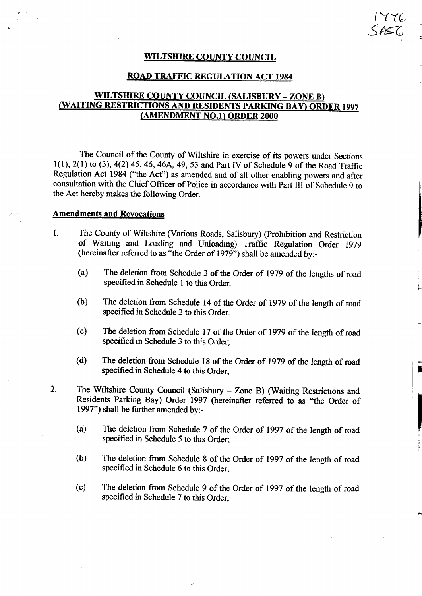WILTSHIRE COUNTY COUNCIL

1776<br>SAS6

#### ROAD TRAFFIC REGULATION ACT <sup>1984</sup>

#### WILTSHIRE COUNTY COUNCIL (SALISBURY - ZONE B) (WAITING RESTRICTIONS AND RESIDENTS PARKING BAY) ORDER <sup>1997</sup> (AMENDMENT NO. 1) ORDER <sup>2000</sup>

The Council of the County of Wiltshire in exercise of its powers under Sections 1(1), 2(1) to (3), 4(2) 45, 46, 46A, 49, 53 and Part IV of Schedule 9 of the Road Traffic Regulation Act 1984 ("the Act") as amended and of all other enabling powers and after consultation with the Chief Officer of Police in accordance with Part III of Schedule 9 to the Act hereby makes the following Order.

#### Amendments and Revocations

- 1. The County of Wiltshire (Various Roads, Salisbury) (Prohibition and Restriction of Waiting and Loading and Unloading) Traffic Regulation Order 1979 (hereinafter referred to as "the Order of 1979") shall be amended by:-
	- (a) The deletion from Schedule <sup>3</sup> of the Order of 1979 of the lengths of road specified in Schedule <sup>1</sup> to this Order.
	- (b) The deletion from Schedule <sup>14</sup> of the Order of 1979 of the length of road specified in Schedule 2 to this Order.
	- (c) The deletion from Schedule <sup>17</sup> of the Order of 1979 of the length of road specified in Schedule 3 to this Order;
	- (d) The deletion from Schedule 18 of the Order of 1979 of the length of road specified in Schedule 4 to this Order;
- 2. The Wiltshire County Council (Salisbury Zone B) (Waiting Restrictions and Residents Parking Bay) Order 1997 (hereinafter referred to as "the Order of 1997") shall be further amended by:-
	- (a) The deletion from Schedule 7 of the Order of 1997 of the length of road specified in Schedule 5 to this Order;
	- (b) The deletion from Schedule <sup>8</sup> of the Order of 1997 of the length of road specified in Schedule 6 to this Order;
	- (c) The deletion from Schedule 9 of the Order of 1997 of the length of road specified in Schedule 7 to this Order;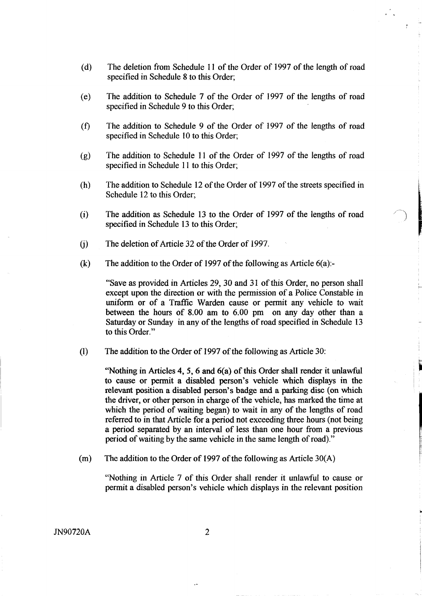- (d) The deletion from Schedule 11 of the Order of 1997 of the length of road specified in Schedule 8 to this Order;
- (e) The addition to Schedule 7 of the Order of 1997 of the lengths of road specified in Schedule 9 to this Order;
- The addition to Schedule 9 of the Order of 1997 of the lengths of road specified in Schedule 10 to this Order; (f)
- (g) The addition to Schedule <sup>11</sup> of the Order of 1997 of the lengths of road specified in Schedule <sup>11</sup> to this Order;
- (h) The addition to Schedule 12 of the Order of 1997 of the streets specified in Schedule 12 to this Order;
- (i) The addition as Schedule 13 to the Order of 1997 of the lengths of road specified in Schedule 13 to this Order;
- $(i)$  The deletion of Article 32 of the Order of 1997.
- (k) The addition to the Order of 1997 of the following as Article  $6(a)$ :

"Save as provided in Articles 29, 30 and 31 of this Order, no person shall except upon the direction or with the permission of a Police Constable in uniform or of a Traffic Warden cause or permit any vehicle to wait between the hours of 8.00 am to 6.00 pm on any day other than a Saturday or Sunday in any of the lengths of road specified in Schedule 13 to this Order."

 $(1)$ The addition to the Order of 1997 of the following as Article 30:

> "Nothing in Articles 4, 5, 6 and 6(a) of this Order shall render it unlawful to cause or permit a disabled person's vehicle which displays in the relevant position a disabled person's badge and a parking disc (on which the driver, or other person in charge of the vehicle, has marked the time at which the period of waiting began) to wait in any of the lengths of road referred to in that Article for a period not exceeding three hours (not being a period separated by an interval of less than one hour from a previous period of waiting by the same vehicle in the same length of road)."

The addition to the Order of 1997 of the following as Article 30(A)  $(m)$ 

"Nothing in Article 7 of this Order shall render it unlawful to cause or permit a disabled person's vehicle which displays in the relevant position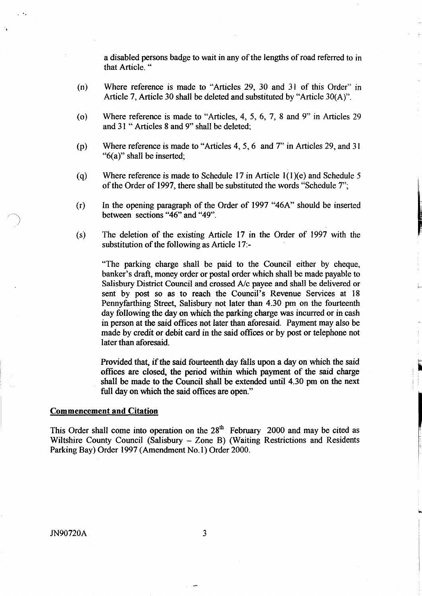a disabled persons badge to wait in any of the lengths of road referred to in that Article. "

- Where reference is made to "Articles 29, 30 and 31 of this Order" in  $(n)$ Article 7, Article 30 shall be deleted and substituted by "Article 30(A)".
- (o) Where reference is made to "Articles, 4, 5, 6, 7, 8 and 9" in Articles 29 and 31 " Articles 8 and 9" shall be deleted;
- (p) Where reference is made to "Articles 4, 5, 6 and 7" in Articles 29, and 31 "6(a)" shall be inserted;
- (q) Where reference is made to Schedule 17 in Article 1(1)(e) and Schedule 5 of the Order of 1997, there shall be substituted the words "Schedule 7";
- (r) In the opening paragraph of the Order of 1997 "46A" should be inserted between sections "46" and "49".
- $(s)$  The deletion of the existing Article 17 in the Order of 1997 with the substitution of the following as Article 17:-

"The parking charge shall be paid to the Council either by cheque, banker's draft, money order or postal order which shall be made payable to Salisbury District Council and crossed A/c payee and shall be delivered or sent by post so as to reach the Council's Revenue Services at 18 Pennyfarthing Street, Salisbury not later than 4.30 pm on the fourteenth day following the day on which the parking charge was incurred or in cash in person at the said offices not later than aforesaid. Payment may also be made by credit or debit card in the said offices or by post or telephone not later than aforesaid .

Provided that, if the said fourteenth day falls upon a day on which the said offices are closed, the period within which payment of the said charge shall be made to the Council shall be extended until 4.30 pm on the next full day on which the said offices are open."

#### Commencement and Citation

This Order shall come into operation on the  $28<sup>th</sup>$  February 2000 and may be cited as Wiltshire County Council (Salisbury - Zone B) (Waiting Restrictions and Residents Parking Bay) Order 1997 (Amendment No. l) Order 2000.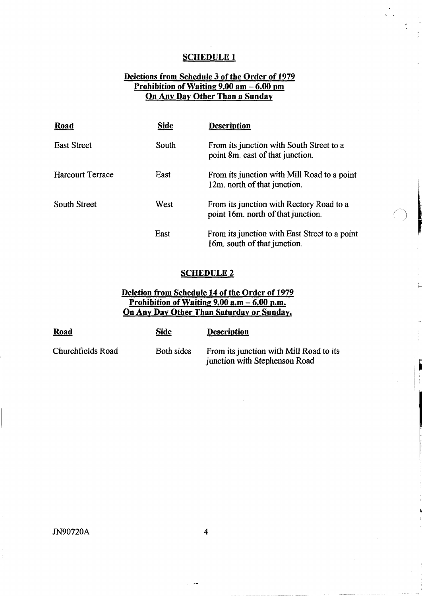$\mathcal{L}_{\mathcal{L}}$ 

## Deletions from Schedule 3 of the Order of 1979 Prohibition of Waiting 9.00 am - 6.00 pm On Any Day Other Than a Sunday

| <b>Road</b>             | <b>Side</b> | <b>Description</b>                                                             |
|-------------------------|-------------|--------------------------------------------------------------------------------|
| <b>East Street</b>      | South       | From its junction with South Street to a<br>point 8m, east of that junction.   |
| <b>Harcourt Terrace</b> | East        | From its junction with Mill Road to a point<br>12m. north of that junction.    |
| South Street            | West        | From its junction with Rectory Road to a<br>point 16m. north of that junction. |
|                         | East        | From its junction with East Street to a point<br>16m. south of that junction.  |

#### **SCHEDULE 2**

## Deletion from Schedule 14 of the Order of 1979 Prohibition of Waiting 9.00 a.m - 6.00 p.m. On Any Day Other Than Saturday or Sunday.

| <b>Road</b>       | Side       | <b>Description</b>                                                       |
|-------------------|------------|--------------------------------------------------------------------------|
| Churchfields Road | Both sides | From its junction with Mill Road to its<br>junction with Stephenson Road |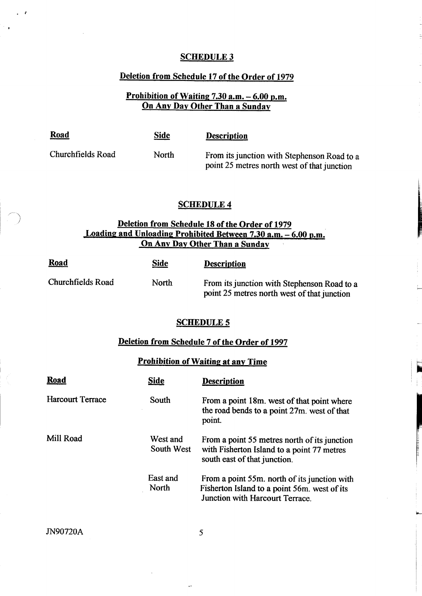#### Deletion from Schedule 17 of the Order of 1979

## Prohibition of Waiting 7.30 a.m. - 6.00 p.m. On Any Day Other Than a Sunday

Road Side Description

Churchfields Road North From its junction with Stephenson Road to <sup>a</sup> point 25 metres north west of that junction

#### SCHEDULE 4

#### Deletion from Schedule 18 of the Order of 1979 Loading and Unloading Prohibited Between 7.30 a.m. - 6.00 p.m. On Any Day Other Than <sup>a</sup> Sunday

| <b>Road</b>       | <b>Side</b> | <b>Description</b>                                                                         |
|-------------------|-------------|--------------------------------------------------------------------------------------------|
| Churchfields Road | North       | From its junction with Stephenson Road to a<br>point 25 metres north west of that junction |

#### SCHEDULE <sup>5</sup>

# Deletion from Schedule 7 of the Order of 1997

#### Prohibition of Waiting at any Time

| Road                    | Side                          | <b>Description</b>                                                                                                              |
|-------------------------|-------------------------------|---------------------------------------------------------------------------------------------------------------------------------|
| <b>Harcourt Terrace</b> | South                         | From a point 18m. west of that point where<br>the road bends to a point 27m. west of that<br>point.                             |
| Mill Road               | West and<br><b>South West</b> | From a point 55 metres north of its junction<br>with Fisherton Island to a point 77 metres<br>south east of that junction.      |
|                         | East and<br>North             | From a point 55m. north of its junction with<br>Fisherton Island to a point 56m. west of its<br>Junction with Harcourt Terrace. |

JN90720A 5

 $\ddot{\phantom{a}}$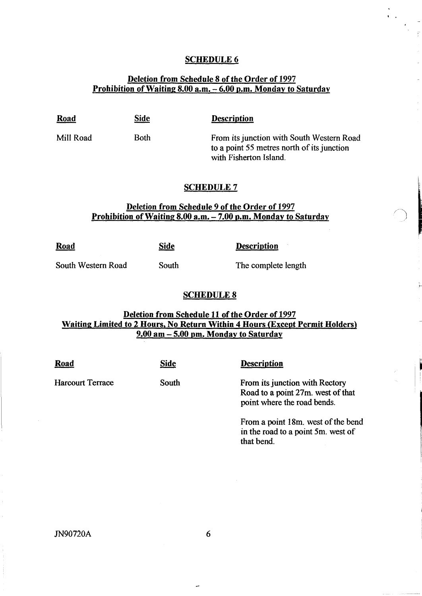# Deletion from Schedule 8 of the Order of 1997 Prohibition of Waiting 8.00 a.m. - 6.00 p.m. Monday to Saturday

| <u>Road</u> | <b>Side</b> | <b>Description</b>                        |
|-------------|-------------|-------------------------------------------|
| Mill Road   | Both        | From its junction with South Western Road |

to a point 55 metres north of its junction with Fisherton Island.

#### **SCHEDULE 7**

#### Deletion from Schedule 9 of the Order of 1997 Prohibition of Waiting 8.00 a.m. - 7.00 p.m. Monday to Saturday

| <b>Road</b>        | Side  | <b>Description</b>  |
|--------------------|-------|---------------------|
| South Western Road | South | The complete length |

#### SCHEDULE 8

#### Deletion from Schedule 11 of the Order of 1997 Waiting Limited to 2 Hours, No Return Within 4 Hours (Except Permit Holders) 9.00 am - 5.00 pm. Monday to. Saturday

| <b>Road</b>             | <b>Side</b> | <b>Description</b>                                                                                 |
|-------------------------|-------------|----------------------------------------------------------------------------------------------------|
| <b>Harcourt Terrace</b> | South       | From its junction with Rectory<br>Road to a point 27m. west of that<br>point where the road bends. |
|                         |             | From a point 18m, west of the bend<br>in the road to a point 5m. west of<br>that bend.             |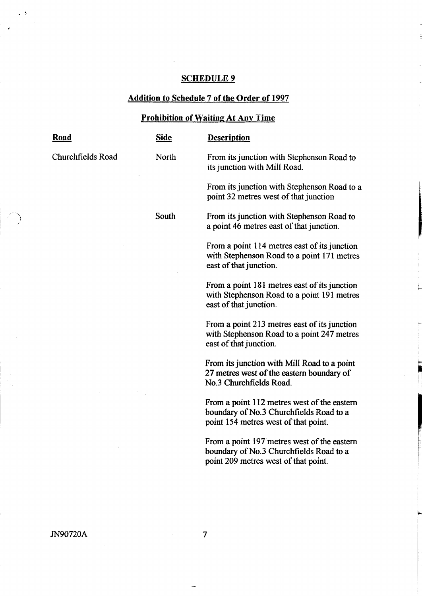# Addition to Schedule 7 of the Order of 1997

# Prohibition of Waiting At Any Time

| <b>Road</b>       | <b>Side</b> | <b>Description</b>                                                                                                             |
|-------------------|-------------|--------------------------------------------------------------------------------------------------------------------------------|
| Churchfields Road | North       | From its junction with Stephenson Road to<br>its junction with Mill Road.                                                      |
|                   |             | From its junction with Stephenson Road to a<br>point 32 metres west of that junction                                           |
|                   | South       | From its junction with Stephenson Road to<br>a point 46 metres east of that junction.                                          |
|                   |             | From a point 114 metres east of its junction<br>with Stephenson Road to a point 171 metres<br>east of that junction.           |
|                   |             | From a point 181 metres east of its junction<br>with Stephenson Road to a point 191 metres<br>east of that junction.           |
|                   |             | From a point 213 metres east of its junction<br>with Stephenson Road to a point 247 metres<br>east of that junction.           |
|                   |             | From its junction with Mill Road to a point<br>27 metres west of the eastern boundary of<br>No.3 Churchfields Road.            |
|                   |             | From a point 112 metres west of the eastern<br>boundary of No.3 Churchfields Road to a<br>point 154 metres west of that point. |
|                   |             | From a point 197 metres west of the eastern<br>boundary of No.3 Churchfields Road to a<br>point 209 metres west of that point. |
|                   |             |                                                                                                                                |

 $\omega$  ,  $\Lambda$ 

 $\cdot$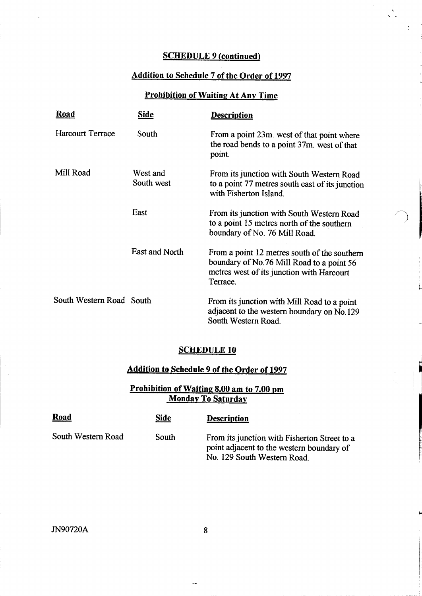## SCHEDULE 9 (continued)

 $\frac{\Delta}{\Delta_{\rm eff}}$ 

 $\frac{1}{2}$  ,  $\frac{1}{2}$ 

## Addition to Schedule 7 of the Order of 1997

## Prohibition of Waiting At Any Time

| <b>Road</b>              | <b>Side</b>            | <b>Description</b>                                                                                                                                 |
|--------------------------|------------------------|----------------------------------------------------------------------------------------------------------------------------------------------------|
| <b>Harcourt Terrace</b>  | South                  | From a point 23m. west of that point where<br>the road bends to a point 37m, west of that<br>point.                                                |
| Mill Road                | West and<br>South west | From its junction with South Western Road<br>to a point 77 metres south east of its junction<br>with Fisherton Island.                             |
|                          | East                   | From its junction with South Western Road<br>to a point 15 metres north of the southern<br>boundary of No. 76 Mill Road.                           |
|                          | East and North         | From a point 12 metres south of the southern<br>boundary of No.76 Mill Road to a point 56<br>metres west of its junction with Harcourt<br>Terrace. |
| South Western Road South |                        | From its junction with Mill Road to a point<br>adjacent to the western boundary on No.129<br>South Western Road.                                   |

## SCHEDULE 10

# Addition to Schedule 9 of the Order of 1997

# Prohibition of Waiting 8.00 am to 7.00 pm **Monday To Saturday**

| <b>Road</b>        | <b>Side</b> | <b>Description</b>                                                                                                       |
|--------------------|-------------|--------------------------------------------------------------------------------------------------------------------------|
| South Western Road | South       | From its junction with Fisherton Street to a<br>point adjacent to the western boundary of<br>No. 129 South Western Road. |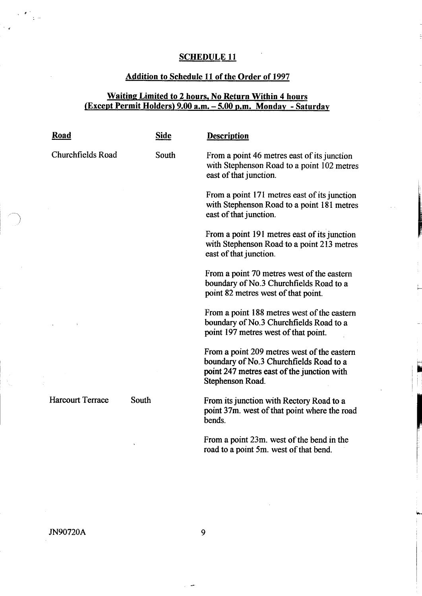# Addition to Schedule 11 of the Order of 1997

## Waiting Limited to <sup>2</sup> hours, No Return Within <sup>4</sup> hours (Except Permit Holders) 9.00 a.m. - 5.00 p.m. Monday - Saturday

| <b>Road</b>             | <b>Side</b> | <b>Description</b>                                                                                                                                       |
|-------------------------|-------------|----------------------------------------------------------------------------------------------------------------------------------------------------------|
| Churchfields Road       | South       | From a point 46 metres east of its junction<br>with Stephenson Road to a point 102 metres<br>east of that junction.                                      |
|                         |             | From a point 171 metres east of its junction<br>with Stephenson Road to a point 181 metres<br>east of that junction.                                     |
|                         |             | From a point 191 metres east of its junction<br>with Stephenson Road to a point 213 metres<br>east of that junction.                                     |
|                         |             | From a point 70 metres west of the eastern<br>boundary of No.3 Churchfields Road to a<br>point 82 metres west of that point.                             |
|                         |             | From a point 188 metres west of the eastern<br>boundary of No.3 Churchfields Road to a<br>point 197 metres west of that point.                           |
|                         |             | From a point 209 metres west of the eastern<br>boundary of No.3 Churchfields Road to a<br>point 247 metres east of the junction with<br>Stephenson Road. |
| <b>Harcourt Terrace</b> | South       | From its junction with Rectory Road to a<br>point 37m. west of that point where the road<br>bends.                                                       |
|                         |             | From a point 23m, west of the bend in the<br>road to a point 5m. west of that bend.                                                                      |

 $\label{eq:2} \frac{1}{2}\left(\frac{1}{2}\right)^{2} \left(\frac{1}{2}\right)^{2} \frac{1}{2} \left(\frac{1}{2}\right)^{2} \frac{1}{2} \left(\frac{1}{2}\right)^{2} \left(\frac{1}{2}\right)^{2} \frac{1}{2} \left(\frac{1}{2}\right)^{2} \frac{1}{2} \left(\frac{1}{2}\right)^{2} \frac{1}{2} \left(\frac{1}{2}\right)^{2} \frac{1}{2} \left(\frac{1}{2}\right)^{2} \frac{1}{2} \left(\frac{1}{2}\right)^{2} \frac{1}{2} \left(\frac{1}{2}\right)^$